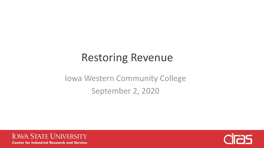# Restoring Revenue

Iowa Western Community College September 2, 2020



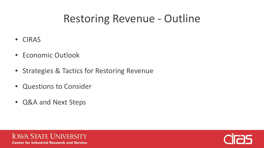# Restoring Revenue - Outline

- CIRAS
- Economic Outlook
- Strategies & Tactics for Restoring Revenue
- Questions to Consider
- Q&A and Next Steps



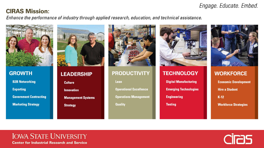### Engage. Educate. Embed.

### **CIRAS Mission:**

Enhance the performance of industry through applied research, education, and technical assistance.



**GROWTH B2B Networking Exporting Government Contracting Marketing Strategy** 



### **LEADERSHIP**

**Culture** 

**Innovation** 

**Management Systems** 

**Strategy** 



**PRODUCTIVITY** 

Lean

**Operational Excellence** 

**Operations Management** 

**Quality** 



### **TECHNOLOGY**

**Digital Manufacturing** 

**Emerging Technologies** 

**Engineering** 

**Testing** 



**WORKFORCE Economic Development Hire a Student**  $K-12$ **Workforce Strategies** 

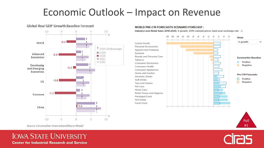## Economic Outlook - Impact on Revenue

#### **Global Real GDP Growth Baseline Forecast**



#### **WORLD PRE-C19 FORECASTS SCENARIO FORECAST I**

Industry Level Retail Sales 2019-2020, % growth, 2019 constant prices, fixed year exchange rate (1)





Source: Euromonitor International Macro Model

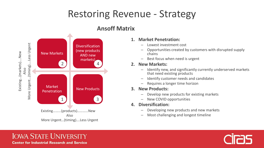## Restoring Revenue - Strategy



### **Ansoff Matrix**

### **1. Market Penetration:**

- Lowest investment cost
- Opportunities created by customers with disrupted supply chains
- Best focus when need is urgent

### **2. New Markets:**

- Identify new, and significantly currently underserved markets that need existing products
- Identify customer needs and candidates
- Requires a longer time horizon
- **3. New Products:**
	- Develop new products for existing markets
	- New COVID opportunities
- **4. Diversification:**
	- Developing new products and new markets
	- Most challenging and longest timeline

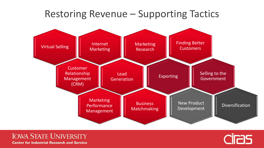## Restoring Revenue – Supporting Tactics



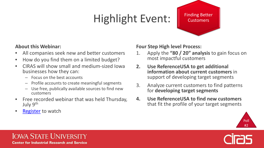# Highlight Event:

### Finding Better **Customers**

### **About this Webinar:**

- All companies seek new and better customers
- How do you find them on a limited budget?
- CIRAS will show small and medium-sized Iowa businesses how they can:
	- Focus on the best accounts
	- Profile accounts to create meaningful segments
	- Use free, publically available sources to find new customers
- Free recorded webinar that was held Thursday, July 9th
- **[Register](https://www.eventbrite.com/e/finding-better-customers-registration-107840341364) to watch**

**Four Step High level Process:**

- 1. Apply the **"80 / 20" analysis** to gain focus on most impactful customers
- **2. Use ReferenceUSA to get additional information about current customers** in support of developing target segments
- 3. Analyze current customers to find patterns for **developing target segments**
- **4. Use ReferenceUSA to find new customers** that fit the profile of your target segments



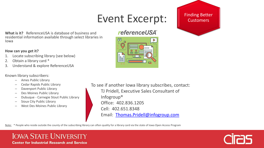## Event Excerpt: | Finding Better

 $66$ 

 $\Box$ 

### *referenceUSA*®



**What is it?** ReferenceUSA is database of business and residential information available through select libraries in Iowa

#### **How can you get it?**

- Locate subscribing library (see below)
- 2. Obtain a library card \*
- 3. Understand & explore ReferenceUSA

#### Known library subscribers:

- Ames Public Library
- Cedar Rapids Public Library
- Davenport Public Library
- Des Moines Public Library
- Dubuque Carnegie Stout Public Library
- Sioux City Public Library
- West Des Moines Public Library

To see if another Iowa library subscribes, contact: TJ Pridell, Executive Sales Consultant of Infogroup® Office: 402.836.1205 Cell: 402.651.8348 Email: [Thomas.Pridell@infogroup.com](mailto:Thomas.Pridell@infogroup.com)

Note: \* People who reside outside the county of the subscribing library can often quality for a library card via the state of Iowa Open Access Program

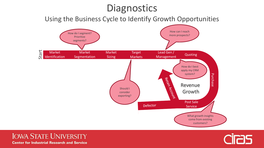## **Diagnostics**

Using the Business Cycle to Identify Growth Opportunities





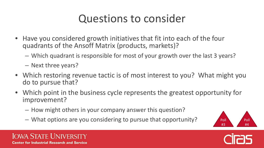# Questions to consider

- Have you considered growth initiatives that fit into each of the four quadrants of the Ansoff Matrix (products, markets)?
	- Which quadrant is responsible for most of your growth over the last 3 years?
	- Next three years?
- Which restoring revenue tactic is of most interest to you? What might you do to pursue that?
- Which point in the business cycle represents the greatest opportunity for improvement?
	- How might others in your company answer this question?
	- What options are you considering to pursue that opportunity?





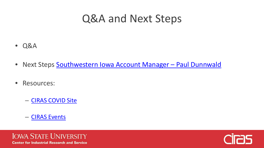## Q&A and Next Steps

- Q&A
- Next Steps Southwestern Iowa Account Manager Paul Dunnwald
- Resources:
	- [CIRAS COVID Site](https://www.ciras.iastate.edu/covid-19/)
	- [CIRAS Events](https://www.ciras.iastate.edu/events-workshops/)